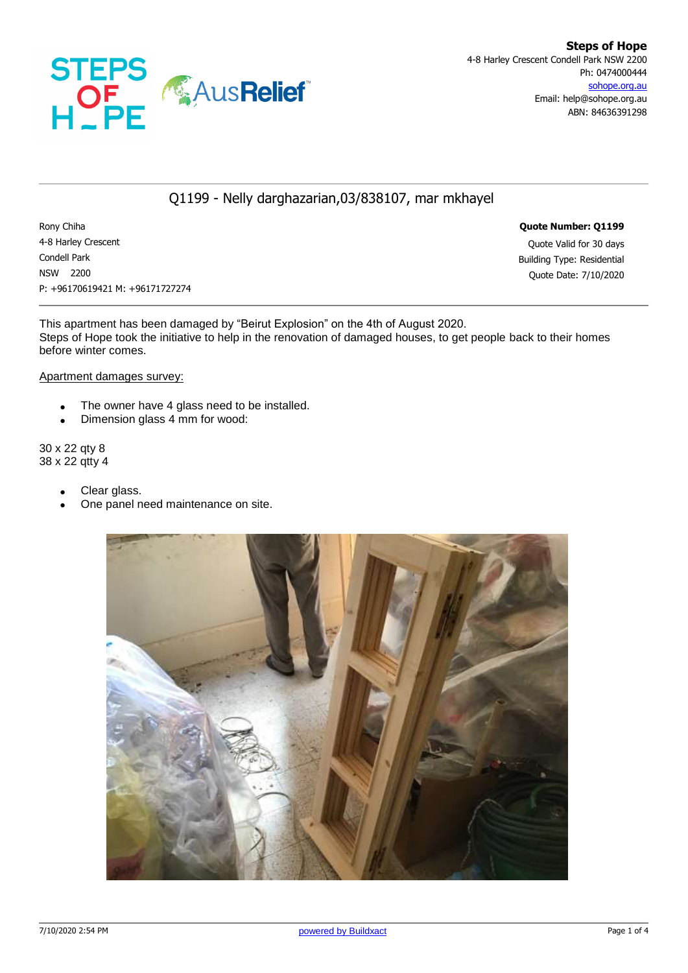

## Q1199 - Nelly darghazarian,03/838107, mar mkhayel

Rony Chiha **Quote Number: Q1199** 4-8 Harley Crescent Quote Valid for 30 days Condell Park Building Type: Residential NSW 2200 Quote Date: 7/10/2020 P: +96170619421 M: +96171727274

This apartment has been damaged by "Beirut Explosion" on the 4th of August 2020. Steps of Hope took the initiative to help in the renovation of damaged houses, to get people back to their homes before winter comes.

#### Apartment damages survey:

- The owner have 4 glass need to be installed.
- Dimension glass 4 mm for wood:

30 x 22 qty 8 38 x 22 qtty 4

- Clear glass.
- One panel need maintenance on site.

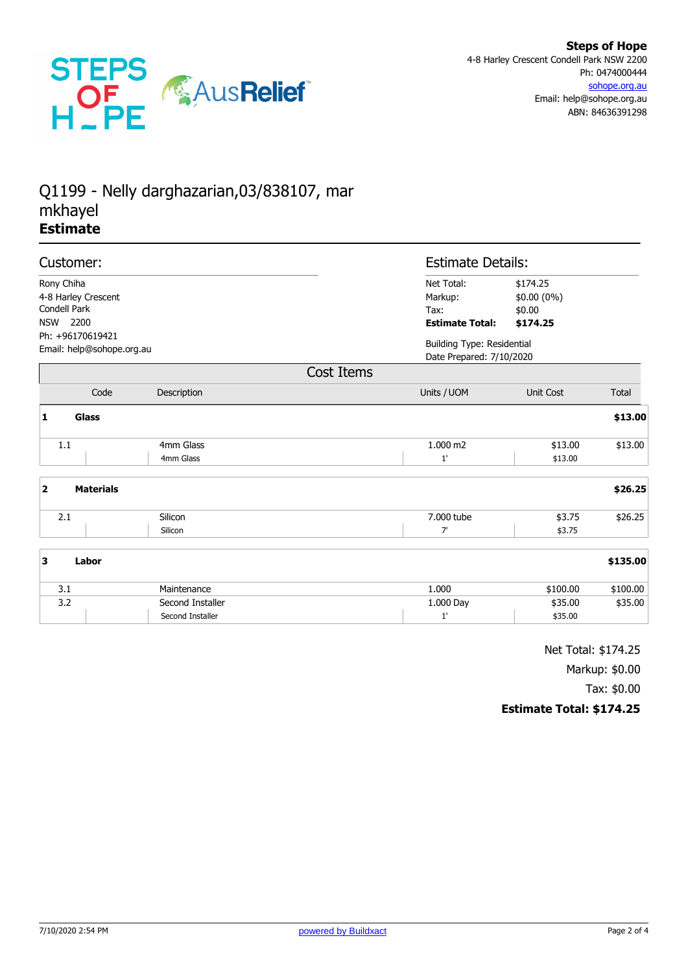

# Q1199 - Nelly darghazarian,03/838107, mar mkhayel **Estimate**

| Customer:<br>Rony Chiha<br>4-8 Harley Crescent<br>Condell Park<br>2200<br><b>NSW</b> |                        |                                                         | <b>Estimate Details:</b>                                      |          |  |
|--------------------------------------------------------------------------------------|------------------------|---------------------------------------------------------|---------------------------------------------------------------|----------|--|
|                                                                                      |                        | Net Total:<br>Markup:<br>Tax:<br><b>Estimate Total:</b> | \$174.25<br>\$0.00 (0%)<br>\$0.00<br>\$174.25                 |          |  |
| Ph: +96170619421<br>Email: help@sohope.org.au                                        |                        |                                                         | <b>Building Type: Residential</b><br>Date Prepared: 7/10/2020 |          |  |
|                                                                                      |                        | Cost Items                                              |                                                               |          |  |
| Code                                                                                 | Description            | Units / UOM                                             | Unit Cost                                                     | Total    |  |
| 1<br><b>Glass</b>                                                                    |                        |                                                         |                                                               | \$13.00  |  |
| 1.1                                                                                  | 4mm Glass<br>4mm Glass | 1.000 m2<br>1'                                          | \$13.00<br>\$13.00                                            | \$13.00  |  |
| $\overline{\mathbf{2}}$<br><b>Materials</b>                                          |                        |                                                         |                                                               | \$26.25  |  |
| 2.1                                                                                  | Silicon<br>Silicon     | 7.000 tube<br>7'                                        | \$3.75<br>\$3.75                                              | \$26.25  |  |
| 3<br>Labor                                                                           |                        |                                                         |                                                               | \$135.00 |  |
| 3.1                                                                                  | Maintenance            | 1.000                                                   | \$100.00                                                      | \$100.00 |  |
| 3.2                                                                                  | Second Installer       | 1.000 Day                                               | \$35.00                                                       | \$35.00  |  |
|                                                                                      | Second Installer       | $1^{\prime}$                                            | \$35.00                                                       |          |  |

Net Total: \$174.25

Markup: \$0.00

Tax: \$0.00

### **Estimate Total: \$174.25**